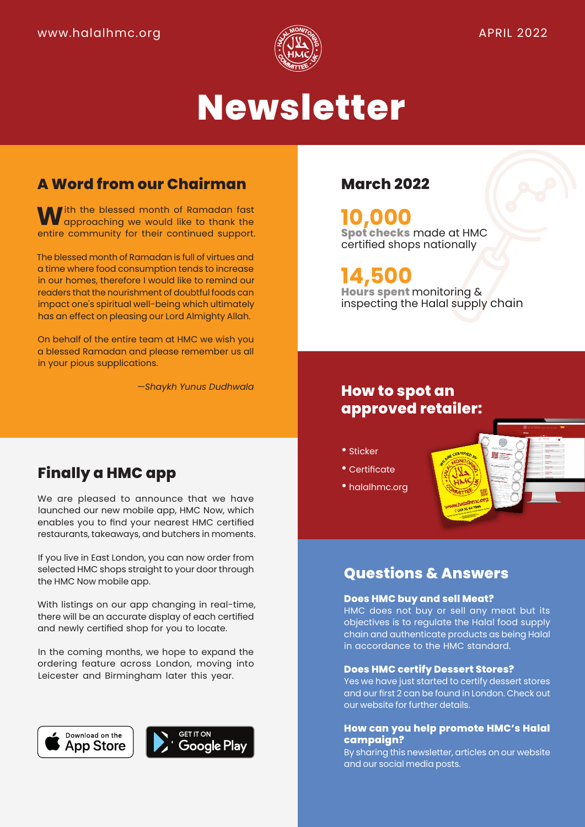

# **Newsletter**

# **A Word from our Chairman**

**W**ith the blessed month of Ramadan fast<br>
approaching we would like to thank the<br>
approaching for their continued support entire community for their continued support.

The blessed month of Ramadan is full of virtues and a time where food consumption tends to increase in our homes, therefore I would like to remind our readers that the nourishment of doubtful foods can impact one's spiritual well-being which ultimately has an effect on pleasing our Lord Almighty Allah.

On behalf of the entire team at HMC we wish you a blessed Ramadan and please remember us all in your pious supplications.

*—Shaykh Yunus Dudhwala*

# **Finally a HMC app**

We are pleased to announce that we have launched our new mobile app, HMC Now, which enables you to find your nearest HMC certified restaurants, takeaways, and butchers in moments.

If you live in East London, you can now order from selected HMC shops straight to your door through the HMC Now mobile app.

With listings on our app changing in real-time, there will be an accurate display of each certified and newly certified shop for you to locate.

In the coming months, we hope to expand the ordering feature across London, moving into Leicester and Birmingham later this year.





### **March 2022**

**10,000 Spot checks** made at HMC certified shops nationally

# **14,500**

**Hours spent** monitoring & inspecting the Halal supply chain

### **How to spot an approved retailer:**

- Sticker
- Certificate
- halalhmc.org

## **Questions & Answers**

#### **Does HMC buy and sell Meat?**

HMC does not buy or sell any meat but its objectives is to regulate the Halal food supply chain and authenticate products as being Halal in accordance to the HMC standard.

#### **Does HMC certify Dessert Stores?**

Yes we have just started to certify dessert stores and our first 2 can be found in London. Check out our website for further details.

#### **How can you help promote HMC's Halal campaign?**

By sharing this newsletter, articles on our website and our social media posts.